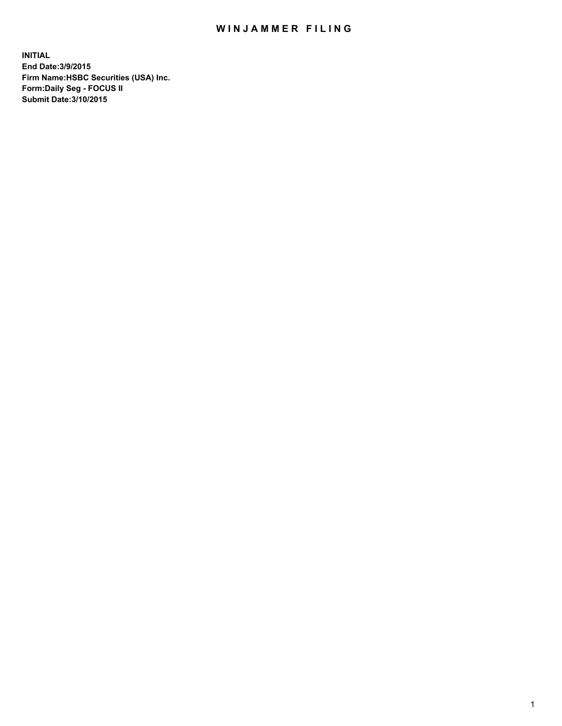## WIN JAMMER FILING

**INITIAL End Date:3/9/2015 Firm Name:HSBC Securities (USA) Inc. Form:Daily Seg - FOCUS II Submit Date:3/10/2015**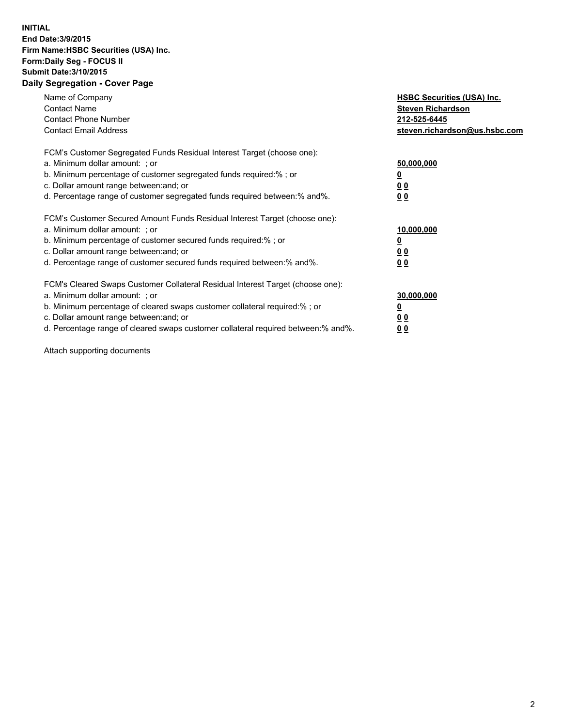## **INITIAL End Date:3/9/2015 Firm Name:HSBC Securities (USA) Inc. Form:Daily Seg - FOCUS II Submit Date:3/10/2015 Daily Segregation - Cover Page**

| Name of Company<br><b>Contact Name</b><br><b>Contact Phone Number</b><br><b>Contact Email Address</b>                                                                                                                                                                                                                         | <b>HSBC Securities (USA) Inc.</b><br><b>Steven Richardson</b><br>212-525-6445<br>steven.richardson@us.hsbc.com |
|-------------------------------------------------------------------------------------------------------------------------------------------------------------------------------------------------------------------------------------------------------------------------------------------------------------------------------|----------------------------------------------------------------------------------------------------------------|
| FCM's Customer Segregated Funds Residual Interest Target (choose one):<br>a. Minimum dollar amount: ; or<br>b. Minimum percentage of customer segregated funds required:%; or<br>c. Dollar amount range between: and; or<br>d. Percentage range of customer segregated funds required between:% and%.                         | 50,000,000<br><u>0</u><br>0 <sub>0</sub><br>0 <sub>0</sub>                                                     |
| FCM's Customer Secured Amount Funds Residual Interest Target (choose one):<br>a. Minimum dollar amount: ; or<br>b. Minimum percentage of customer secured funds required:%; or<br>c. Dollar amount range between: and; or<br>d. Percentage range of customer secured funds required between:% and%.                           | 10,000,000<br><u>0</u><br>0 <sub>0</sub><br>0 <sub>0</sub>                                                     |
| FCM's Cleared Swaps Customer Collateral Residual Interest Target (choose one):<br>a. Minimum dollar amount: ; or<br>b. Minimum percentage of cleared swaps customer collateral required:%; or<br>c. Dollar amount range between: and; or<br>d. Percentage range of cleared swaps customer collateral required between:% and%. | 30,000,000<br><u>0</u><br>0 <sub>0</sub><br>0 <sub>0</sub>                                                     |

Attach supporting documents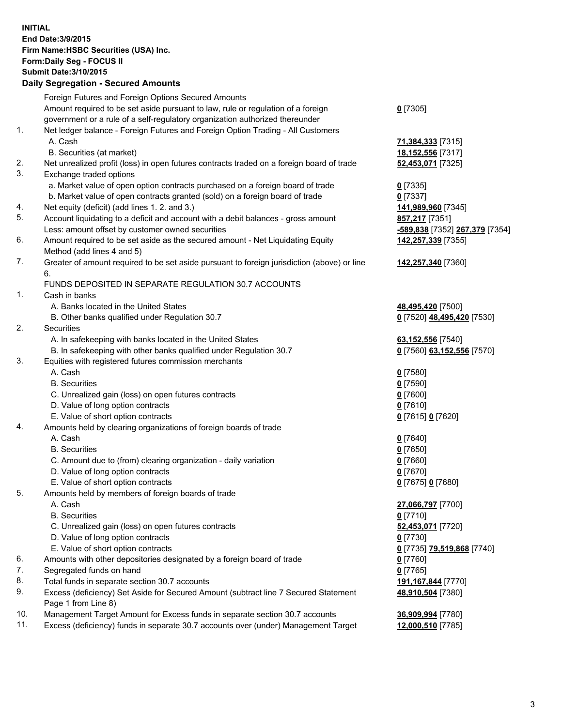**INITIAL End Date:3/9/2015 Firm Name:HSBC Securities (USA) Inc. Form:Daily Seg - FOCUS II Submit Date:3/10/2015 Daily Segregation - Secured Amounts**

Foreign Futures and Foreign Options Secured Amounts Amount required to be set aside pursuant to law, rule or regulation of a foreign government or a rule of a self-regulatory organization authorized thereunder **0** [7305] 1. Net ledger balance - Foreign Futures and Foreign Option Trading - All Customers A. Cash **71,384,333** [7315] B. Securities (at market) **18,152,556** [7317] 2. Net unrealized profit (loss) in open futures contracts traded on a foreign board of trade **52,453,071** [7325] 3. Exchange traded options a. Market value of open option contracts purchased on a foreign board of trade **0** [7335] b. Market value of open contracts granted (sold) on a foreign board of trade **0** [7337] 4. Net equity (deficit) (add lines 1. 2. and 3.) **141,989,960** [7345] 5. Account liquidating to a deficit and account with a debit balances - gross amount **857,217** [7351] Less: amount offset by customer owned securities **-589,838** [7352] **267,379** [7354] 6. Amount required to be set aside as the secured amount - Net Liquidating Equity Method (add lines 4 and 5) **142,257,339** [7355] 7. Greater of amount required to be set aside pursuant to foreign jurisdiction (above) or line 6. **142,257,340** [7360] FUNDS DEPOSITED IN SEPARATE REGULATION 30.7 ACCOUNTS 1. Cash in banks A. Banks located in the United States **48,495,420** [7500] B. Other banks qualified under Regulation 30.7 **0** [7520] **48,495,420** [7530] 2. Securities A. In safekeeping with banks located in the United States **63,152,556** [7540] B. In safekeeping with other banks qualified under Regulation 30.7 **0** [7560] **63,152,556** [7570] 3. Equities with registered futures commission merchants A. Cash **0** [7580] B. Securities **0** [7590] C. Unrealized gain (loss) on open futures contracts **0** [7600] D. Value of long option contracts **0** [7610] E. Value of short option contracts **0** [7615] **0** [7620] 4. Amounts held by clearing organizations of foreign boards of trade A. Cash **0** [7640] B. Securities **0** [7650] C. Amount due to (from) clearing organization - daily variation **0** [7660] D. Value of long option contracts **0** [7670] E. Value of short option contracts **0** [7675] **0** [7680] 5. Amounts held by members of foreign boards of trade A. Cash **27,066,797** [7700] B. Securities **0** [7710] C. Unrealized gain (loss) on open futures contracts **52,453,071** [7720] D. Value of long option contracts **0** [7730] E. Value of short option contracts **0** [7735] **79,519,868** [7740] 6. Amounts with other depositories designated by a foreign board of trade **0** [7760] 7. Segregated funds on hand **0** [7765] 8. Total funds in separate section 30.7 accounts **191,167,844** [7770] 9. Excess (deficiency) Set Aside for Secured Amount (subtract line 7 Secured Statement Page 1 from Line 8) **48,910,504** [7380] 10. Management Target Amount for Excess funds in separate section 30.7 accounts **36,909,994** [7780] 11. Excess (deficiency) funds in separate 30.7 accounts over (under) Management Target **12,000,510** [7785]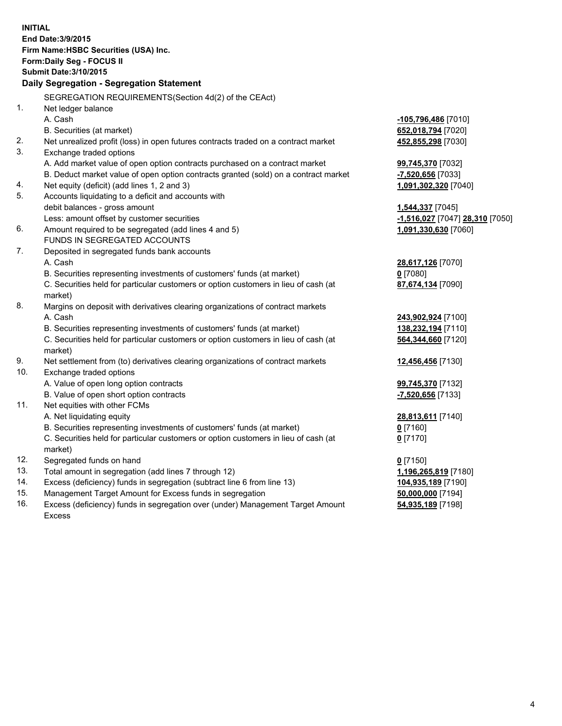| <b>INITIAL</b>                |                                                                                                               |                                 |  |  |  |
|-------------------------------|---------------------------------------------------------------------------------------------------------------|---------------------------------|--|--|--|
| End Date: 3/9/2015            |                                                                                                               |                                 |  |  |  |
|                               | Firm Name: HSBC Securities (USA) Inc.                                                                         |                                 |  |  |  |
|                               | Form: Daily Seg - FOCUS II                                                                                    |                                 |  |  |  |
| <b>Submit Date: 3/10/2015</b> |                                                                                                               |                                 |  |  |  |
|                               | Daily Segregation - Segregation Statement                                                                     |                                 |  |  |  |
|                               |                                                                                                               |                                 |  |  |  |
| 1 <sub>1</sub>                | SEGREGATION REQUIREMENTS(Section 4d(2) of the CEAct)                                                          |                                 |  |  |  |
|                               | Net ledger balance<br>A. Cash                                                                                 |                                 |  |  |  |
|                               |                                                                                                               | -105,796,486 [7010]             |  |  |  |
| 2.                            | B. Securities (at market)                                                                                     | 652,018,794 [7020]              |  |  |  |
| 3.                            | Net unrealized profit (loss) in open futures contracts traded on a contract market<br>Exchange traded options | 452,855,298 [7030]              |  |  |  |
|                               | A. Add market value of open option contracts purchased on a contract market                                   | 99,745,370 [7032]               |  |  |  |
|                               | B. Deduct market value of open option contracts granted (sold) on a contract market                           | -7,520,656 [7033]               |  |  |  |
| 4.                            | Net equity (deficit) (add lines 1, 2 and 3)                                                                   | 1,091,302,320 [7040]            |  |  |  |
| 5.                            | Accounts liquidating to a deficit and accounts with                                                           |                                 |  |  |  |
|                               | debit balances - gross amount                                                                                 | 1,544,337 [7045]                |  |  |  |
|                               | Less: amount offset by customer securities                                                                    | -1,516,027 [7047] 28,310 [7050] |  |  |  |
| 6.                            | Amount required to be segregated (add lines 4 and 5)                                                          | 1,091,330,630 [7060]            |  |  |  |
|                               | FUNDS IN SEGREGATED ACCOUNTS                                                                                  |                                 |  |  |  |
| 7.                            | Deposited in segregated funds bank accounts                                                                   |                                 |  |  |  |
|                               | A. Cash                                                                                                       | 28,617,126 [7070]               |  |  |  |
|                               | B. Securities representing investments of customers' funds (at market)                                        | $0$ [7080]                      |  |  |  |
|                               | C. Securities held for particular customers or option customers in lieu of cash (at                           | 87,674,134 [7090]               |  |  |  |
|                               | market)                                                                                                       |                                 |  |  |  |
| 8.                            | Margins on deposit with derivatives clearing organizations of contract markets                                |                                 |  |  |  |
|                               | A. Cash                                                                                                       | 243,902,924 [7100]              |  |  |  |
|                               | B. Securities representing investments of customers' funds (at market)                                        | 138,232,194 [7110]              |  |  |  |
|                               | C. Securities held for particular customers or option customers in lieu of cash (at                           | 564,344,660 [7120]              |  |  |  |
|                               | market)                                                                                                       |                                 |  |  |  |
| 9.                            | Net settlement from (to) derivatives clearing organizations of contract markets                               | 12,456,456 [7130]               |  |  |  |
| 10.                           | Exchange traded options                                                                                       |                                 |  |  |  |
|                               | A. Value of open long option contracts                                                                        | 99,745,370 [7132]               |  |  |  |
|                               | B. Value of open short option contracts                                                                       | -7,520,656 [7133]               |  |  |  |
| 11.                           | Net equities with other FCMs                                                                                  |                                 |  |  |  |
|                               | A. Net liquidating equity                                                                                     | 28,813,611 [7140]               |  |  |  |
|                               | B. Securities representing investments of customers' funds (at market)                                        | <u>0</u> [7160]                 |  |  |  |
|                               | C. Securities held for particular customers or option customers in lieu of cash (at                           | $0$ [7170]                      |  |  |  |
|                               | market)                                                                                                       |                                 |  |  |  |
| 12.                           | Segregated funds on hand                                                                                      | $0$ [7150]                      |  |  |  |
| 13.                           | Total amount in segregation (add lines 7 through 12)                                                          | 1,196,265,819 [7180]            |  |  |  |
| 14.<br>15.                    | Excess (deficiency) funds in segregation (subtract line 6 from line 13)                                       | 104,935,189 [7190]              |  |  |  |
| 16.                           | Management Target Amount for Excess funds in segregation                                                      | 50,000,000 [7194]               |  |  |  |
|                               | Excess (deficiency) funds in segregation over (under) Management Target Amount                                | 54,935,189 [7198]               |  |  |  |
|                               | Excess                                                                                                        |                                 |  |  |  |